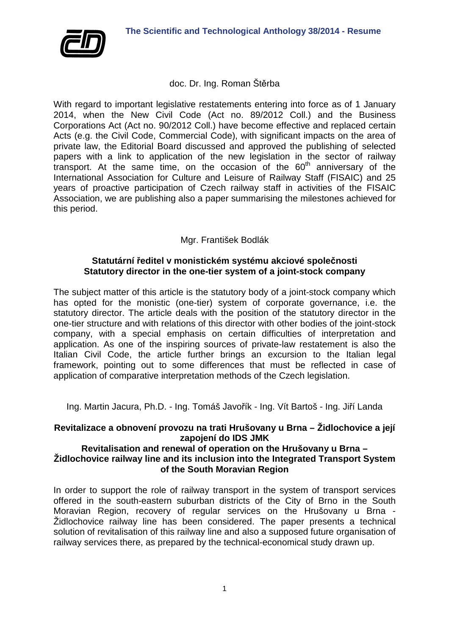

# doc. Dr. Ing. Roman Štěrba

With regard to important legislative restatements entering into force as of 1 January 2014, when the New Civil Code (Act no. 89/2012 Coll.) and the Business Corporations Act (Act no. 90/2012 Coll.) have become effective and replaced certain Acts (e.g. the Civil Code, Commercial Code), with significant impacts on the area of private law, the Editorial Board discussed and approved the publishing of selected papers with a link to application of the new legislation in the sector of railway transport. At the same time, on the occasion of the  $60<sup>th</sup>$  anniversary of the International Association for Culture and Leisure of Railway Staff (FISAIC) and 25 years of proactive participation of Czech railway staff in activities of the FISAIC Association, we are publishing also a paper summarising the milestones achieved for this period.

## Mgr. František Bodlák

## **Statutární ředitel v monistickém systému akciové společnosti Statutory director in the one-tier system of a joint-stock company**

The subject matter of this article is the statutory body of a joint-stock company which has opted for the monistic (one-tier) system of corporate governance, i.e. the statutory director. The article deals with the position of the statutory director in the one-tier structure and with relations of this director with other bodies of the joint-stock company, with a special emphasis on certain difficulties of interpretation and application. As one of the inspiring sources of private-law restatement is also the Italian Civil Code, the article further brings an excursion to the Italian legal framework, pointing out to some differences that must be reflected in case of application of comparative interpretation methods of the Czech legislation.

Ing. Martin Jacura, Ph.D. - Ing. Tomáš Javořík - Ing. Vít Bartoš - Ing. Jiří Landa

## **Revitalizace a obnovení provozu na trati Hrušovany u Brna – Židlochovice a její zapojení do IDS JMK**

### **Revitalisation and renewal of operation on the Hrušovany u Brna – Židlochovice railway line and its inclusion into the Integrated Transport System of the South Moravian Region**

In order to support the role of railway transport in the system of transport services offered in the south-eastern suburban districts of the City of Brno in the South Moravian Region, recovery of regular services on the Hrušovany u Brna - Židlochovice railway line has been considered. The paper presents a technical solution of revitalisation of this railway line and also a supposed future organisation of railway services there, as prepared by the technical-economical study drawn up.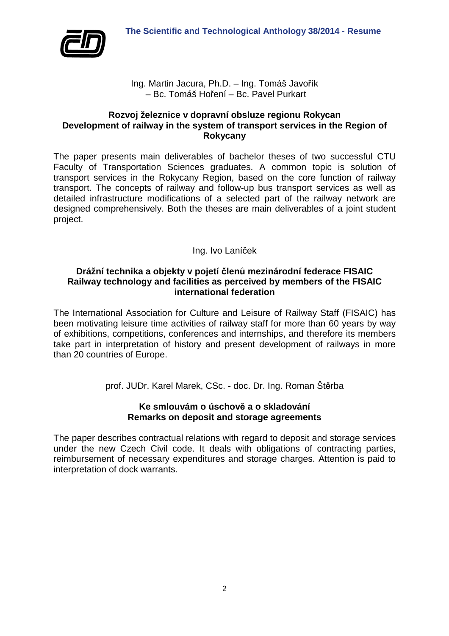

### Ing. Martin Jacura, Ph.D. – Ing. Tomáš Javořík – Bc. Tomáš Hoření – Bc. Pavel Purkart

#### **Rozvoj železnice v dopravní obsluze regionu Rokycan Development of railway in the system of transport services in the Region of Rokycany**

The paper presents main deliverables of bachelor theses of two successful CTU Faculty of Transportation Sciences graduates. A common topic is solution of transport services in the Rokycany Region, based on the core function of railway transport. The concepts of railway and follow-up bus transport services as well as detailed infrastructure modifications of a selected part of the railway network are designed comprehensively. Both the theses are main deliverables of a joint student project.

Ing. Ivo Laníček

## **Drážní technika a objekty v pojetí členů mezinárodní federace FISAIC Railway technology and facilities as perceived by members of the FISAIC international federation**

The International Association for Culture and Leisure of Railway Staff (FISAIC) has been motivating leisure time activities of railway staff for more than 60 years by way of exhibitions, competitions, conferences and internships, and therefore its members take part in interpretation of history and present development of railways in more than 20 countries of Europe.

prof. JUDr. Karel Marek, CSc. - doc. Dr. Ing. Roman Štěrba

## **Ke smlouvám o úschově a o skladování Remarks on deposit and storage agreements**

The paper describes contractual relations with regard to deposit and storage services under the new Czech Civil code. It deals with obligations of contracting parties, reimbursement of necessary expenditures and storage charges. Attention is paid to interpretation of dock warrants.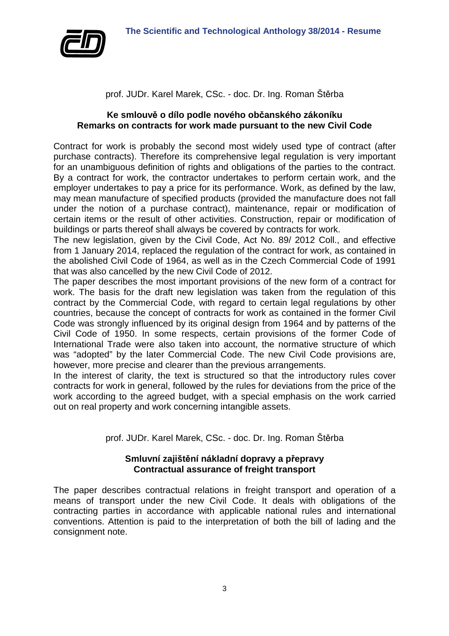

## prof. JUDr. Karel Marek, CSc. - doc. Dr. Ing. Roman Štěrba

### **Ke smlouvě o dílo podle nového občanského zákoníku Remarks on contracts for work made pursuant to the new Civil Code**

Contract for work is probably the second most widely used type of contract (after purchase contracts). Therefore its comprehensive legal regulation is very important for an unambiguous definition of rights and obligations of the parties to the contract. By a contract for work, the contractor undertakes to perform certain work, and the employer undertakes to pay a price for its performance. Work, as defined by the law, may mean manufacture of specified products (provided the manufacture does not fall under the notion of a purchase contract), maintenance, repair or modification of certain items or the result of other activities. Construction, repair or modification of buildings or parts thereof shall always be covered by contracts for work.

The new legislation, given by the Civil Code, Act No. 89/ 2012 Coll., and effective from 1 January 2014, replaced the regulation of the contract for work, as contained in the abolished Civil Code of 1964, as well as in the Czech Commercial Code of 1991 that was also cancelled by the new Civil Code of 2012.

The paper describes the most important provisions of the new form of a contract for work. The basis for the draft new legislation was taken from the regulation of this contract by the Commercial Code, with regard to certain legal regulations by other countries, because the concept of contracts for work as contained in the former Civil Code was strongly influenced by its original design from 1964 and by patterns of the Civil Code of 1950. In some respects, certain provisions of the former Code of International Trade were also taken into account, the normative structure of which was "adopted" by the later Commercial Code. The new Civil Code provisions are, however, more precise and clearer than the previous arrangements.

In the interest of clarity, the text is structured so that the introductory rules cover contracts for work in general, followed by the rules for deviations from the price of the work according to the agreed budget, with a special emphasis on the work carried out on real property and work concerning intangible assets.

# prof. JUDr. Karel Marek, CSc. - doc. Dr. Ing. Roman Štěrba

### **Smluvní zajištění nákladní dopravy a přepravy Contractual assurance of freight transport**

The paper describes contractual relations in freight transport and operation of a means of transport under the new Civil Code. It deals with obligations of the contracting parties in accordance with applicable national rules and international conventions. Attention is paid to the interpretation of both the bill of lading and the consignment note.